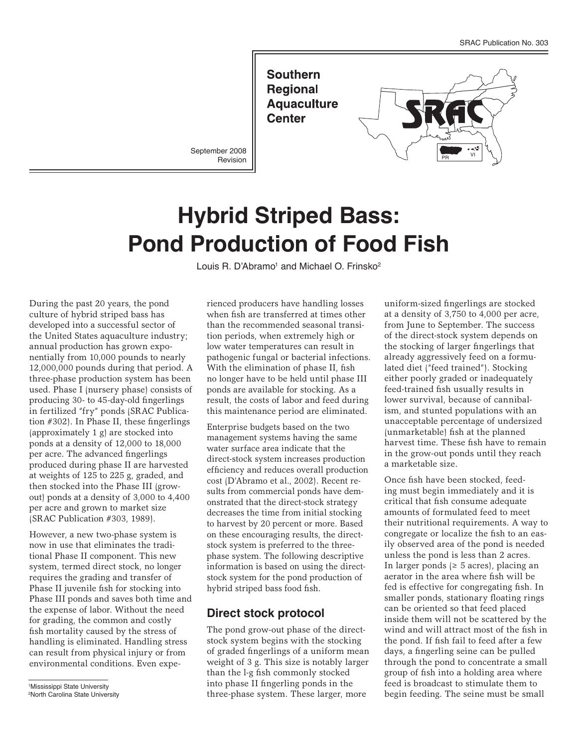**Southern Regional Aquaculture Center** 

September 2008 Revision



# **Hybrid Striped Bass: Pond Production of Food Fish**

Louis R. D'Abramo<sup>1</sup> and Michael O. Frinsko<sup>2</sup>

During the past 20 years, the pond culture of hybrid striped bass has developed into a successful sector of the United States aquaculture industry; annual production has grown exponentially from 10,000 pounds to nearly 12,000,000 pounds during that period. A three-phase production system has been used. Phase I (nursery phase) consists of producing 30- to 45-day-old fingerlings in fertilized "fry" ponds (SRAC Publication #302). In Phase II, these fingerlings (approximately 1 g) are stocked into ponds at a density of 12,000 to 18,000 per acre. The advanced fingerlings produced during phase II are harvested at weights of 125 to 225 g, graded, and then stocked into the Phase III (growout) ponds at a density of 3,000 to 4,400 per acre and grown to market size (SRAC Publication #303, 1989).

However, a new two-phase system is now in use that eliminates the traditional Phase II component. This new system, termed direct stock, no longer requires the grading and transfer of Phase II juvenile fish for stocking into Phase III ponds and saves both time and the expense of labor. Without the need for grading, the common and costly fish mortality caused by the stress of handling is eliminated. Handling stress can result from physical injury or from environmental conditions. Even expe-

1Mississippi State University

rienced producers have handling losses when fish are transferred at times other than the recommended seasonal transition periods, when extremely high or low water temperatures can result in pathogenic fungal or bacterial infections. With the elimination of phase II, fish no longer have to be held until phase III ponds are available for stocking. As a result, the costs of labor and feed during this maintenance period are eliminated.

Enterprise budgets based on the two management systems having the same water surface area indicate that the direct-stock system increases production efficiency and reduces overall production cost (D'Abramo et al., 2002). Recent results from commercial ponds have demonstrated that the direct-stock strategy decreases the time from initial stocking to harvest by 20 percent or more. Based on these encouraging results, the directstock system is preferred to the threephase system. The following descriptive information is based on using the directstock system for the pond production of hybrid striped bass food fish.

## **Direct stock protocol**

The pond grow-out phase of the directstock system begins with the stocking of graded fingerlings of a uniform mean weight of 3 g. This size is notably larger than the l-g fish commonly stocked into phase II fingerling ponds in the three-phase system. These larger, more

uniform-sized fingerlings are stocked at a density of 3,750 to 4,000 per acre, from June to September. The success of the direct-stock system depends on the stocking of larger fingerlings that already aggressively feed on a formulated diet ("feed trained"). Stocking either poorly graded or inadequately feed-trained fish usually results in lower survival, because of cannibalism, and stunted populations with an unacceptable percentage of undersized (unmarketable) fish at the planned harvest time. These fish have to remain in the grow-out ponds until they reach a marketable size.

Once fish have been stocked, feeding must begin immediately and it is critical that fish consume adequate amounts of formulated feed to meet their nutritional requirements. A way to congregate or localize the fish to an easily observed area of the pond is needed unless the pond is less than 2 acres. In larger ponds ( $\geq 5$  acres), placing an aerator in the area where fish will be fed is effective for congregating fish. In smaller ponds, stationary floating rings can be oriented so that feed placed inside them will not be scattered by the wind and will attract most of the fish in the pond. If fish fail to feed after a few days, a fingerling seine can be pulled through the pond to concentrate a small group of fish into a holding area where feed is broadcast to stimulate them to begin feeding. The seine must be small

<sup>2</sup>North Carolina State University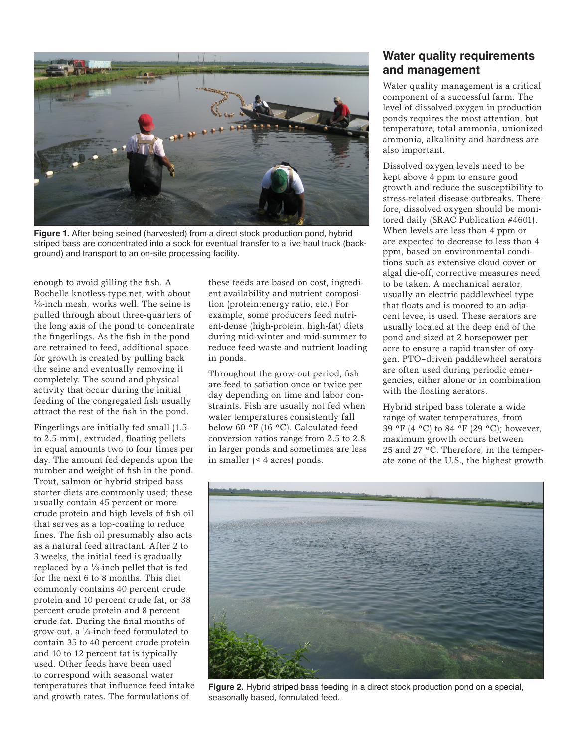

**Figure 1.** After being seined (harvested) from a direct stock production pond, hybrid striped bass are concentrated into a sock for eventual transfer to a live haul truck (background) and transport to an on-site processing facility.

enough to avoid gilling the fish. A Rochelle knotless-type net, with about 1 ⁄8-inch mesh, works well. The seine is pulled through about three-quarters of the long axis of the pond to concentrate the fingerlings. As the fish in the pond are retrained to feed, additional space for growth is created by pulling back the seine and eventually removing it completely. The sound and physical activity that occur during the initial feeding of the congregated fish usually attract the rest of the fish in the pond.

Fingerlings are initially fed small (1.5 to 2.5-mm), extruded, floating pellets in equal amounts two to four times per day. The amount fed depends upon the number and weight of fish in the pond. Trout, salmon or hybrid striped bass starter diets are commonly used; these usually contain 45 percent or more crude protein and high levels of fish oil that serves as a top-coating to reduce fines. The fish oil presumably also acts as a natural feed attractant. After 2 to 3 weeks, the initial feed is gradually replaced by a  $\frac{1}{s}$ -inch pellet that is fed for the next 6 to 8 months. This diet commonly contains 40 percent crude protein and 10 percent crude fat, or 38 percent crude protein and 8 percent crude fat. During the final months of grow-out, a 1 ⁄4-inch feed formulated to contain 35 to 40 percent crude protein and 10 to 12 percent fat is typically used. Other feeds have been used to correspond with seasonal water temperatures that influence feed intake and growth rates. The formulations of

these feeds are based on cost, ingredient availability and nutrient composition (protein:energy ratio, etc.) For example, some producers feed nutrient-dense (high-protein, high-fat) diets during mid-winter and mid-summer to reduce feed waste and nutrient loading in ponds.

Throughout the grow-out period, fish are feed to satiation once or twice per day depending on time and labor constraints. Fish are usually not fed when water temperatures consistently fall below 60 ºF (16 ºC). Calculated feed conversion ratios range from 2.5 to 2.8 in larger ponds and sometimes are less in smaller  $(≤ 4 \text{ acres})$  ponds.

# **Water quality requirements and management**

Water quality management is a critical component of a successful farm. The level of dissolved oxygen in production ponds requires the most attention, but temperature, total ammonia, unionized ammonia, alkalinity and hardness are also important.

Dissolved oxygen levels need to be kept above 4 ppm to ensure good growth and reduce the susceptibility to stress-related disease outbreaks. Therefore, dissolved oxygen should be monitored daily (SRAC Publication #4601). When levels are less than 4 ppm or are expected to decrease to less than 4 ppm, based on environmental conditions such as extensive cloud cover or algal die-off, corrective measures need to be taken. A mechanical aerator, usually an electric paddlewheel type that floats and is moored to an adjacent levee, is used. These aerators are usually located at the deep end of the pond and sized at 2 horsepower per acre to ensure a rapid transfer of oxygen. PTO–driven paddlewheel aerators are often used during periodic emergencies, either alone or in combination with the floating aerators.

Hybrid striped bass tolerate a wide range of water temperatures, from 39 ºF (4 ºC) to 84 ºF (29 ºC); however, maximum growth occurs between 25 and 27 ºC. Therefore, in the temperate zone of the U.S., the highest growth



**Figure 2.** Hybrid striped bass feeding in a direct stock production pond on a special, seasonally based, formulated feed.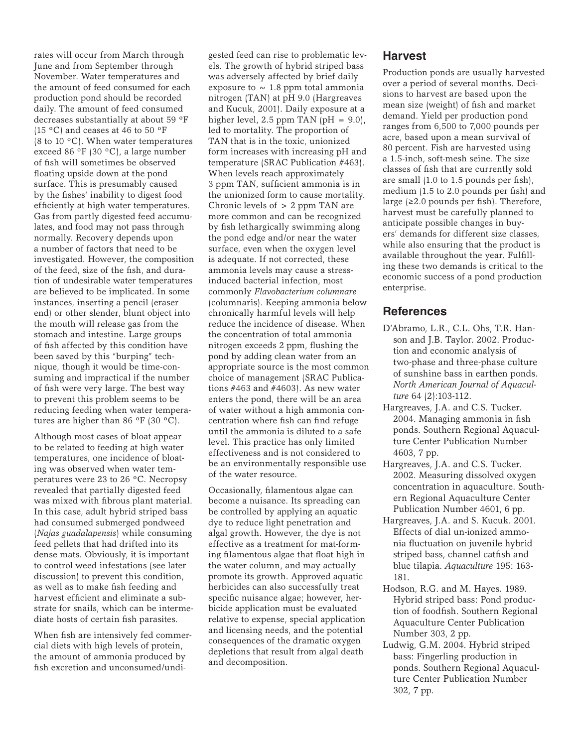rates will occur from March through June and from September through November. Water temperatures and the amount of feed consumed for each production pond should be recorded daily. The amount of feed consumed decreases substantially at about 59 ºF (15 ºC) and ceases at 46 to 50 ºF (8 to 10 ºC). When water temperatures exceed 86 ºF (30 ºC), a large number of fish will sometimes be observed floating upside down at the pond surface. This is presumably caused by the fishes' inability to digest food efficiently at high water temperatures. Gas from partly digested feed accumulates, and food may not pass through normally. Recovery depends upon a number of factors that need to be investigated. However, the composition of the feed, size of the fish, and duration of undesirable water temperatures are believed to be implicated. In some instances, inserting a pencil (eraser end) or other slender, blunt object into the mouth will release gas from the stomach and intestine. Large groups of fish affected by this condition have been saved by this "burping" technique, though it would be time-consuming and impractical if the number of fish were very large. The best way to prevent this problem seems to be reducing feeding when water temperatures are higher than 86 ºF (30 ºC).

Although most cases of bloat appear to be related to feeding at high water temperatures, one incidence of bloating was observed when water temperatures were 23 to 26 ºC. Necropsy revealed that partially digested feed was mixed with fibrous plant material. In this case, adult hybrid striped bass had consumed submerged pondweed (*Najas guadalapensis*) while consuming feed pellets that had drifted into its dense mats. Obviously, it is important to control weed infestations (see later discussion) to prevent this condition, as well as to make fish feeding and harvest efficient and eliminate a substrate for snails, which can be intermediate hosts of certain fish parasites.

When fish are intensively fed commercial diets with high levels of protein, the amount of ammonia produced by fish excretion and unconsumed/undigested feed can rise to problematic levels. The growth of hybrid striped bass was adversely affected by brief daily exposure to  $\sim 1.8$  ppm total ammonia nitrogen (TAN) at pH 9.0 (Hargreaves and Kucuk, 2001). Daily exposure at a higher level, 2.5 ppm TAN  $\text{(pH = 9.0)}$ , led to mortality. The proportion of TAN that is in the toxic, unionized form increases with increasing pH and temperature (SRAC Publication #463). When levels reach approximately 3 ppm TAN, sufficient ammonia is in the unionized form to cause mortality. Chronic levels of > 2 ppm TAN are more common and can be recognized by fish lethargically swimming along the pond edge and/or near the water surface, even when the oxygen level is adequate. If not corrected, these ammonia levels may cause a stressinduced bacterial infection, most commonly *Flavobacterium columnare* (columnaris). Keeping ammonia below chronically harmful levels will help reduce the incidence of disease. When the concentration of total ammonia nitrogen exceeds 2 ppm, flushing the pond by adding clean water from an appropriate source is the most common choice of management (SRAC Publications #463 and #4603). As new water enters the pond, there will be an area of water without a high ammonia concentration where fish can find refuge until the ammonia is diluted to a safe level. This practice has only limited effectiveness and is not considered to be an environmentally responsible use of the water resource.

Occasionally, filamentous algae can become a nuisance. Its spreading can be controlled by applying an aquatic dye to reduce light penetration and algal growth. However, the dye is not effective as a treatment for mat-forming filamentous algae that float high in the water column, and may actually promote its growth. Approved aquatic herbicides can also successfully treat specific nuisance algae; however, herbicide application must be evaluated relative to expense, special application and licensing needs, and the potential consequences of the dramatic oxygen depletions that result from algal death and decomposition.

#### **Harvest**

Production ponds are usually harvested over a period of several months. Decisions to harvest are based upon the mean size (weight) of fish and market demand. Yield per production pond ranges from 6,500 to 7,000 pounds per acre, based upon a mean survival of 80 percent. Fish are harvested using a 1.5-inch, soft-mesh seine. The size classes of fish that are currently sold are small (1.0 to 1.5 pounds per fish), medium (1.5 to 2.0 pounds per fish) and large (≥2.0 pounds per fish). Therefore, harvest must be carefully planned to anticipate possible changes in buyers' demands for different size classes, while also ensuring that the product is available throughout the year. Fulfilling these two demands is critical to the economic success of a pond production enterprise.

## **References**

- D'Abramo, L.R., C.L. Ohs, T.R. Hanson and J.B. Taylor. 2002. Production and economic analysis of two-phase and three-phase culture of sunshine bass in earthen ponds. *North American Journal of Aquaculture* 64 (2):103-112.
- Hargreaves, J.A. and C.S. Tucker. 2004. Managing ammonia in fish ponds. Southern Regional Aquaculture Center Publication Number 4603, 7 pp.
- Hargreaves, J.A. and C.S. Tucker. 2002. Measuring dissolved oxygen concentration in aquaculture. Southern Regional Aquaculture Center Publication Number 4601, 6 pp.
- Hargreaves, J.A. and S. Kucuk. 2001. Effects of dial un-ionized ammonia fluctuation on juvenile hybrid striped bass, channel catfish and blue tilapia. *Aquaculture* 195: 163- 181.
- Hodson, R.G. and M. Hayes. 1989. Hybrid striped bass: Pond production of foodfish. Southern Regional Aquaculture Center Publication Number 303, 2 pp.
- Ludwig, G.M. 2004. Hybrid striped bass: Fingerling production in ponds. Southern Regional Aquaculture Center Publication Number 302, 7 pp.